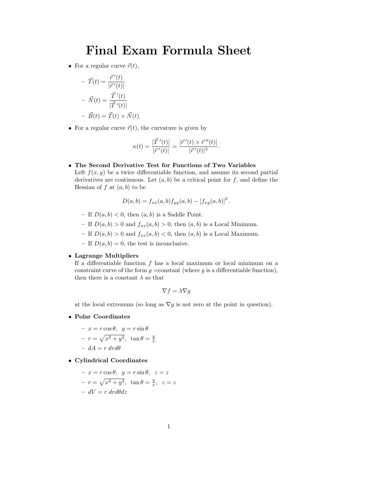# Final Exam Formula Sheet

• For a regular curve  $\vec{r}(t)$ ,

$$
- \ \vec{T}(t) = \frac{\vec{r}^{\prime}(t)}{|\vec{r}^{\prime}(t)|}
$$

$$
- \ \vec{N}(t) = \frac{\vec{T}^{\prime}(t)}{|\vec{T}^{\prime}(t)|}
$$

$$
- \ \vec{B}(t) = \vec{T}(t) \times \vec{N}(t)
$$

• For a regular curve  $\vec{r}(t)$ , the curvature is given by

$$
\kappa(t) = \frac{|\vec{T}'(t)|}{|\vec{r}'(t)|} = \frac{|\vec{r}'(t) \times \vec{r}''(t)|}{|\vec{r}'(t)|^3}.
$$

 The Second Derivative Test for Functions of Two Variables Left  $f(x, y)$  be a twice differentiable function, and assume its second partial derivatives are continuous. Let  $(a, b)$  be a critical point for f, and define the Hessian of  $f$  at  $(a, b)$  to be

$$
D(a,b) = f_{xx}(a,b) f_{yy}(a,b) - [f_{xy}(a,b)]^2.
$$

- If  $D(a, b) < 0$ , then  $(a, b)$  is a Saddle Point.
- If  $D(a, b) > 0$  and  $f_{xx}(a, b) > 0$ , then  $(a, b)$  is a Local Minimum.
- If  $D(a, b) > 0$  and  $f_{xx}(a, b) < 0$ , then  $(a, b)$  is a Local Maximum.
- If  $D(a, b) = 0$ , the test is inconclusive.

## Lagrange Multipliers

If a differentiable function  $f$  has a local maximum or local minimum on a constraint curve of the form  $g = constant$  (where g is a differentiable function), then there is a constant  $\lambda$  so that

$$
\nabla f = \lambda \nabla g
$$

at the local extremum (so long as  $\nabla g$  is not zero at the point in question).

Polar Coordinates

$$
- x = r \cos \theta, \quad y = r \sin \theta
$$
  

$$
- r = \sqrt{x^2 + y^2}, \quad \tan \theta = \frac{y}{x}
$$
  

$$
- dA = r \, dr d\theta
$$

Cylindrical Coordinates

$$
- x = r \cos \theta, \quad y = r \sin \theta, \quad z = z
$$

$$
- r = \sqrt{x^2 + y^2}, \quad \tan \theta = \frac{y}{x}, \quad z = z
$$

$$
- dV = r \, dr d\theta dz
$$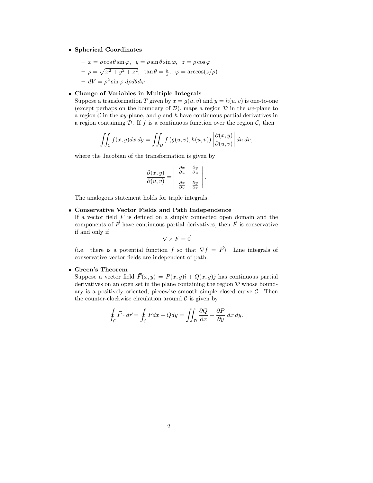### Spherical Coordinates

$$
- x = \rho \cos \theta \sin \varphi, \quad y = \rho \sin \theta \sin \varphi, \quad z = \rho \cos \varphi
$$

$$
- \rho = \sqrt{x^2 + y^2 + z^2}, \quad \tan \theta = \frac{y}{x}, \quad \varphi = \arccos(z/\rho)
$$

$$
- dV = \rho^2 \sin \varphi \, d\rho d\theta d\varphi
$$

### Change of Variables in Multiple Integrals

Suppose a transformation T given by  $x = g(u, v)$  and  $y = h(u, v)$  is one-to-one (except perhaps on the boundary of  $\mathcal{D}$ ), maps a region  $\mathcal D$  in the uv-plane to a region  $\mathcal C$  in the xy-plane, and g and h have continuous partial derivatives in a region containing  $D$ . If f is a continuous function over the region  $C$ , then

$$
\iint_{\mathcal{C}} f(x, y) dx dy = \iint_{\mathcal{D}} f(g(u, v), h(u, v)) \left| \frac{\partial(x, y)}{\partial(u, v)} \right| du dv,
$$

where the Jacobian of the transformation is given by

$$
\frac{\partial(x,y)}{\partial(u,v)} = \begin{vmatrix} \frac{\partial x}{\partial u} & \frac{\partial y}{\partial u} \\ \frac{\partial x}{\partial v} & \frac{\partial y}{\partial v} \end{vmatrix}.
$$

The analogous statement holds for triple integrals.

## Conservative Vector Fields and Path Independence

If a vector field  $\vec{F}$  is defined on a simply connected open domain and the components of  $\vec{F}$  have continuous partial derivatives, then  $\vec{F}$  is conservative if and only if

$$
\nabla \times \vec{F} = \vec{0}
$$

(i.e. there is a potential function f so that  $\nabla f = \vec{F}$ ). Line integrals of conservative vector fields are independent of path.

### Green's Theorem

Suppose a vector field  $\vec{F}(x, y) = P(x, y)\hat{i} + Q(x, y)\hat{j}$  has continuous partial derivatives on an open set in the plane containing the region  $D$  whose boundary is a positively oriented, piecewise smooth simple closed curve  $C$ . Then the counter-clockwise circulation around  $\mathcal C$  is given by

$$
\oint_{\mathcal{C}} \vec{F} \cdot d\vec{r} = \oint_{\mathcal{C}} P dx + Q dy = \iint_{\mathcal{D}} \frac{\partial Q}{\partial x} - \frac{\partial P}{\partial y} dx dy.
$$